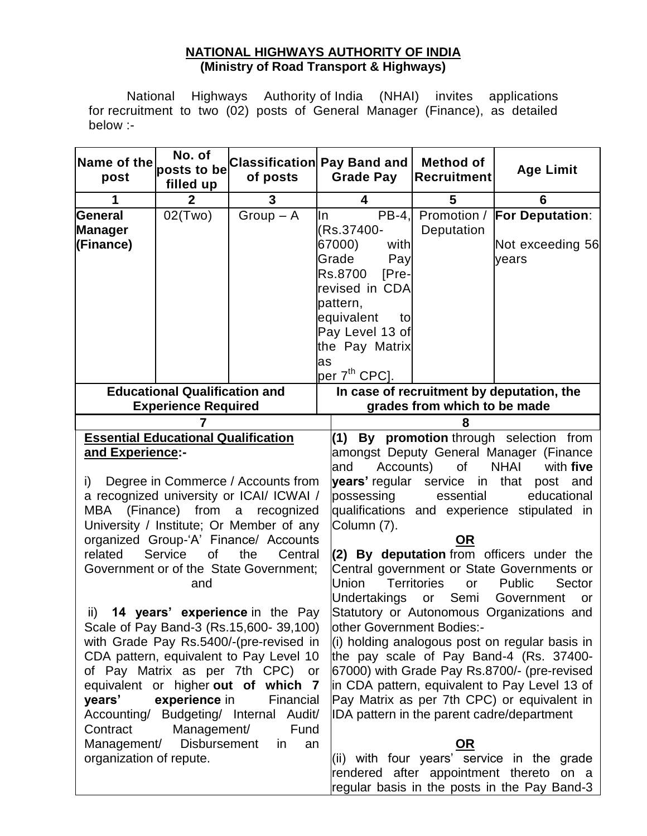### **NATIONAL HIGHWAYS AUTHORITY OF INDIA (Ministry of Road Transport & Highways)**

National Highways Authority of India (NHAI) invites applications for recruitment to two (02) posts of General Manager (Finance), as detailed below :-

| Name of the<br>post                                                                                                                                                                                                                                                                                                                                                                                                                                                                                                                                                                                                                                                                                                                                                                            | No. of<br>posts to be<br>filled up   | of posts    | <b>Classification Pay Band and</b><br><b>Grade Pay</b>                                                                                                                     | <b>Method of</b><br><b>Recruitment</b>                                                                                                   | <b>Age Limit</b>                                                                                                                                                                                                                                                                                                                                                                                                                                                                                                                                                                                                                   |  |
|------------------------------------------------------------------------------------------------------------------------------------------------------------------------------------------------------------------------------------------------------------------------------------------------------------------------------------------------------------------------------------------------------------------------------------------------------------------------------------------------------------------------------------------------------------------------------------------------------------------------------------------------------------------------------------------------------------------------------------------------------------------------------------------------|--------------------------------------|-------------|----------------------------------------------------------------------------------------------------------------------------------------------------------------------------|------------------------------------------------------------------------------------------------------------------------------------------|------------------------------------------------------------------------------------------------------------------------------------------------------------------------------------------------------------------------------------------------------------------------------------------------------------------------------------------------------------------------------------------------------------------------------------------------------------------------------------------------------------------------------------------------------------------------------------------------------------------------------------|--|
| 1                                                                                                                                                                                                                                                                                                                                                                                                                                                                                                                                                                                                                                                                                                                                                                                              | $\mathbf{2}$                         | 3           | 4                                                                                                                                                                          | 5                                                                                                                                        | 6                                                                                                                                                                                                                                                                                                                                                                                                                                                                                                                                                                                                                                  |  |
| General<br><b>Manager</b><br>(Finance)                                                                                                                                                                                                                                                                                                                                                                                                                                                                                                                                                                                                                                                                                                                                                         | 02(Two)                              | $Group - A$ | $PB-4.$<br>ln<br>(Rs.37400-<br>67000)<br>with<br>Grade<br>Pay<br>Rs.8700<br>$[Pre-$<br>revised in CDA<br>pattern,<br>equivalent<br>to<br>Pay Level 13 of<br>the Pay Matrix | Deputation                                                                                                                               | Promotion / For Deputation:<br>Not exceeding 56<br>vears                                                                                                                                                                                                                                                                                                                                                                                                                                                                                                                                                                           |  |
|                                                                                                                                                                                                                                                                                                                                                                                                                                                                                                                                                                                                                                                                                                                                                                                                |                                      |             | as<br>per 7 <sup>th</sup> CPC].                                                                                                                                            |                                                                                                                                          |                                                                                                                                                                                                                                                                                                                                                                                                                                                                                                                                                                                                                                    |  |
|                                                                                                                                                                                                                                                                                                                                                                                                                                                                                                                                                                                                                                                                                                                                                                                                | <b>Educational Qualification and</b> |             |                                                                                                                                                                            |                                                                                                                                          | In case of recruitment by deputation, the                                                                                                                                                                                                                                                                                                                                                                                                                                                                                                                                                                                          |  |
| <b>Experience Required</b>                                                                                                                                                                                                                                                                                                                                                                                                                                                                                                                                                                                                                                                                                                                                                                     |                                      |             |                                                                                                                                                                            | grades from which to be made                                                                                                             |                                                                                                                                                                                                                                                                                                                                                                                                                                                                                                                                                                                                                                    |  |
|                                                                                                                                                                                                                                                                                                                                                                                                                                                                                                                                                                                                                                                                                                                                                                                                | 7                                    |             |                                                                                                                                                                            | 8                                                                                                                                        |                                                                                                                                                                                                                                                                                                                                                                                                                                                                                                                                                                                                                                    |  |
| <b>Essential Educational Qualification</b>                                                                                                                                                                                                                                                                                                                                                                                                                                                                                                                                                                                                                                                                                                                                                     |                                      |             | By promotion through selection from<br>(1)<br>amongst Deputy General Manager (Finance                                                                                      |                                                                                                                                          |                                                                                                                                                                                                                                                                                                                                                                                                                                                                                                                                                                                                                                    |  |
| and Experience:-<br>Degree in Commerce / Accounts from<br>i)<br>a recognized university or ICAI/ ICWAI /<br>MBA (Finance) from a recognized<br>University / Institute; Or Member of any<br>organized Group-'A' Finance/ Accounts<br>related<br>Service<br>of<br>the<br>Central<br>Government or of the State Government;<br>and<br>ii)<br><b>14 years' experience in the Pay</b><br>Scale of Pay Band-3 (Rs.15,600-39,100)<br>with Grade Pay Rs.5400/-(pre-revised in<br>CDA pattern, equivalent to Pay Level 10<br>of Pay Matrix as per 7th CPC) or<br>equivalent or higher out of which 7<br>years'<br>experience in<br>Financial<br>Accounting/ Budgeting/ Internal Audit/<br>Contract<br>Management/<br>Fund<br><b>Disbursement</b><br>Management/<br>in.<br>an<br>organization of repute. |                                      |             | and<br>years' regular service in<br>possessing<br>Column (7).<br><b>Union</b><br>Undertakings<br>other Government Bodies:-                                                 | Accounts) of<br>essential<br><u>OR</u><br><b>Territories</b><br>or<br>or Semi<br>IDA pattern in the parent cadre/department<br><u>OR</u> | <b>NHAI</b><br>with five<br>that post<br>and<br>educational<br>qualifications and experience stipulated in<br>(2) By deputation from officers under the<br>Central government or State Governments or<br>Public<br>Sector<br>Government<br>or<br>Statutory or Autonomous Organizations and<br>$(i)$ holding analogous post on regular basis in<br>the pay scale of Pay Band-4 (Rs. 37400-<br>67000) with Grade Pay Rs.8700/- (pre-revised<br>in CDA pattern, equivalent to Pay Level 13 of<br>Pay Matrix as per 7th CPC) or equivalent in<br>(ii) with four years' service in the grade<br>rendered after appointment thereto on a |  |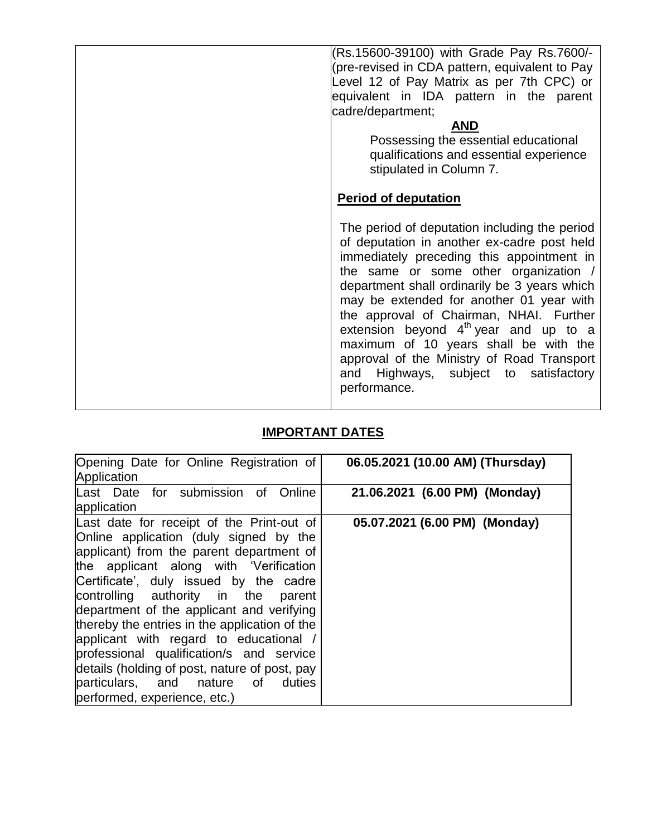| (Rs.15600-39100) with Grade Pay Rs.7600/-<br>(pre-revised in CDA pattern, equivalent to Pay<br>Level 12 of Pay Matrix as per 7th CPC) or<br>equivalent in IDA pattern in the parent<br>cadre/department;<br><b>AND</b><br>Possessing the essential educational<br>qualifications and essential experience<br>stipulated in Column 7.<br><b>Period of deputation</b>                                                                                                                                                  |
|----------------------------------------------------------------------------------------------------------------------------------------------------------------------------------------------------------------------------------------------------------------------------------------------------------------------------------------------------------------------------------------------------------------------------------------------------------------------------------------------------------------------|
| The period of deputation including the period<br>of deputation in another ex-cadre post held<br>immediately preceding this appointment in<br>the same or some other organization /<br>department shall ordinarily be 3 years which<br>may be extended for another 01 year with<br>the approval of Chairman, NHAI. Further<br>extension beyond $4th$ year and up to a<br>maximum of 10 years shall be with the<br>approval of the Ministry of Road Transport<br>and Highways, subject to satisfactory<br>performance. |

# **IMPORTANT DATES**

| Opening Date for Online Registration of<br>Application                                                                                                                                                                                                                                                                                                                                                                                                                                                                                                                     | 06.05.2021 (10.00 AM) (Thursday) |
|----------------------------------------------------------------------------------------------------------------------------------------------------------------------------------------------------------------------------------------------------------------------------------------------------------------------------------------------------------------------------------------------------------------------------------------------------------------------------------------------------------------------------------------------------------------------------|----------------------------------|
| Last Date for submission of<br>Online<br>application                                                                                                                                                                                                                                                                                                                                                                                                                                                                                                                       | 21.06.2021 (6.00 PM) (Monday)    |
| Last date for receipt of the Print-out of<br>Online application (duly signed by the<br>applicant) from the parent department of<br>the applicant along with 'Verification<br>Certificate', duly issued by the cadre<br>controlling authority in the<br>parent<br>department of the applicant and verifying<br>thereby the entries in the application of the<br>applicant with regard to educational /<br>professional qualification/s and service<br>details (holding of post, nature of post, pay<br>particulars, and nature of<br>duties<br>performed, experience, etc.) | 05.07.2021 (6.00 PM) (Monday)    |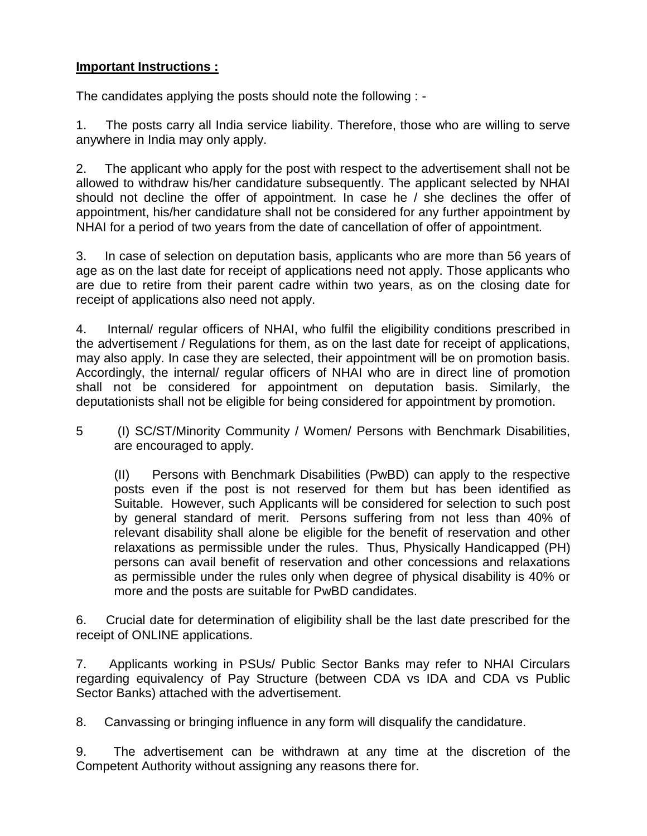## **Important Instructions :**

The candidates applying the posts should note the following : -

1. The posts carry all India service liability. Therefore, those who are willing to serve anywhere in India may only apply.

2. The applicant who apply for the post with respect to the advertisement shall not be allowed to withdraw his/her candidature subsequently. The applicant selected by NHAI should not decline the offer of appointment. In case he / she declines the offer of appointment, his/her candidature shall not be considered for any further appointment by NHAI for a period of two years from the date of cancellation of offer of appointment.

3. In case of selection on deputation basis, applicants who are more than 56 years of age as on the last date for receipt of applications need not apply. Those applicants who are due to retire from their parent cadre within two years, as on the closing date for receipt of applications also need not apply.

4. Internal/ regular officers of NHAI, who fulfil the eligibility conditions prescribed in the advertisement / Regulations for them, as on the last date for receipt of applications, may also apply. In case they are selected, their appointment will be on promotion basis. Accordingly, the internal/ regular officers of NHAI who are in direct line of promotion shall not be considered for appointment on deputation basis. Similarly, the deputationists shall not be eligible for being considered for appointment by promotion.

5 (I) SC/ST/Minority Community / Women/ Persons with Benchmark Disabilities, are encouraged to apply.

(II) Persons with Benchmark Disabilities (PwBD) can apply to the respective posts even if the post is not reserved for them but has been identified as Suitable. However, such Applicants will be considered for selection to such post by general standard of merit. Persons suffering from not less than 40% of relevant disability shall alone be eligible for the benefit of reservation and other relaxations as permissible under the rules. Thus, Physically Handicapped (PH) persons can avail benefit of reservation and other concessions and relaxations as permissible under the rules only when degree of physical disability is 40% or more and the posts are suitable for PwBD candidates.

6. Crucial date for determination of eligibility shall be the last date prescribed for the receipt of ONLINE applications.

7. Applicants working in PSUs/ Public Sector Banks may refer to NHAI Circulars regarding equivalency of Pay Structure (between CDA vs IDA and CDA vs Public Sector Banks) attached with the advertisement.

8. Canvassing or bringing influence in any form will disqualify the candidature.

9. The advertisement can be withdrawn at any time at the discretion of the Competent Authority without assigning any reasons there for.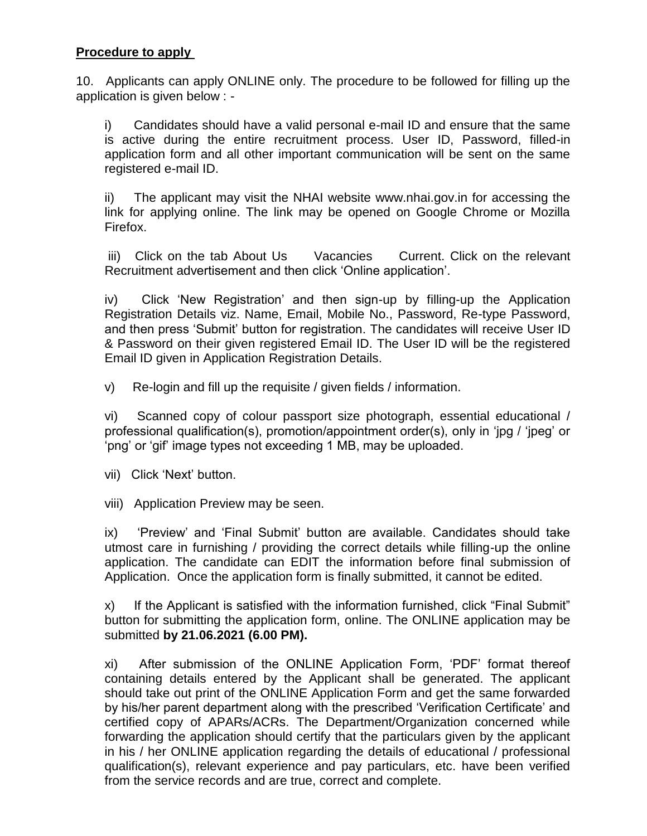#### **Procedure to apply**

10. Applicants can apply ONLINE only. The procedure to be followed for filling up the application is given below : -

i) Candidates should have a valid personal e-mail ID and ensure that the same is active during the entire recruitment process. User ID, Password, filled-in application form and all other important communication will be sent on the same registered e-mail ID.

ii) The applicant may visit the NHAI website www.nhai.gov.in for accessing the link for applying online. The link may be opened on Google Chrome or Mozilla Firefox.

iii) Click on the tab About Us Vacancies Current. Click on the relevant Recruitment advertisement and then click 'Online application'.

iv) Click 'New Registration' and then sign-up by filling-up the Application Registration Details viz. Name, Email, Mobile No., Password, Re-type Password, and then press 'Submit' button for registration. The candidates will receive User ID & Password on their given registered Email ID. The User ID will be the registered Email ID given in Application Registration Details.

v) Re-login and fill up the requisite / given fields / information.

vi) Scanned copy of colour passport size photograph, essential educational / professional qualification(s), promotion/appointment order(s), only in 'jpg / 'jpeg' or 'png' or 'gif' image types not exceeding 1 MB, may be uploaded.

vii) Click 'Next' button.

viii) Application Preview may be seen.

ix) 'Preview' and 'Final Submit' button are available. Candidates should take utmost care in furnishing / providing the correct details while filling-up the online application. The candidate can EDIT the information before final submission of Application. Once the application form is finally submitted, it cannot be edited.

x) If the Applicant is satisfied with the information furnished, click "Final Submit" button for submitting the application form, online. The ONLINE application may be submitted **by 21.06.2021 (6.00 PM).**

xi) After submission of the ONLINE Application Form, 'PDF' format thereof containing details entered by the Applicant shall be generated. The applicant should take out print of the ONLINE Application Form and get the same forwarded by his/her parent department along with the prescribed 'Verification Certificate' and certified copy of APARs/ACRs. The Department/Organization concerned while forwarding the application should certify that the particulars given by the applicant in his / her ONLINE application regarding the details of educational / professional qualification(s), relevant experience and pay particulars, etc. have been verified from the service records and are true, correct and complete.